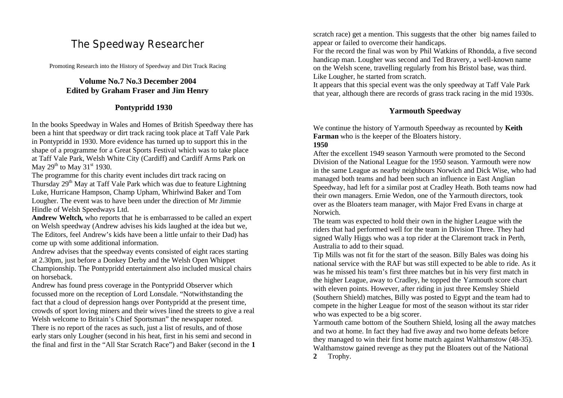# The Speedway Researcher

Promoting Research into the History of Speedway and Dirt Track Racing

### **Volume No.7 No.3 December 2004 Edited by Graham Fraser and Jim Henry**

### **Pontypridd 1930**

In the books Speedway in Wales and Homes of British Speedway there has been a hint that speedway or dirt track racing took place at Taff Vale Park in Pontypridd in 1930. More evidence has turned up to support this in the shape of a programme for a Great Sports Festival which was to take place at Taff Vale Park, Welsh White City (Cardiff) and Cardiff Arms Park on May  $29<sup>th</sup>$  to May  $31<sup>st</sup>$  1930.

The programme for this charity event includes dirt track racing on Thursday 29<sup>th</sup> May at Taff Vale Park which was due to feature Lightning Luke, Hurricane Hampson, Champ Upham, Whirlwind Baker and Tom Lougher. The event was to have been under the direction of Mr Jimmie Hindle of Welsh Speedways Ltd.

**Andrew Weltch,** who reports that he is embarrassed to be called an expert on Welsh speedway (Andrew advises his kids laughed at the idea but we, The Editors, feel Andrew's kids have been a little unfair to their Dad) has come up with some additional information.

Andrew advises that the speedway events consisted of eight races starting at 2.30pm, just before a Donkey Derby and the Welsh Open Whippet Championship. The Pontypridd entertainment also included musical chairs on horseback.

Andrew has found press coverage in the Pontypridd Observer which focussed more on the reception of Lord Lonsdale. "Notwithstanding the fact that a cloud of depression hangs over Pontypridd at the present time, crowds of sport loving miners and their wives lined the streets to give a real Welsh welcome to Britain's Chief Sportsman" the newspaper noted. There is no report of the races as such, just a list of results, and of those early stars only Lougher (second in his heat, first in his semi and second in the final and first in the "All Star Scratch Race") and Baker (second in the **1** 

scratch race) get a mention. This suggests that the other big names failed to appear or failed to overcome their handicaps.

For the record the final was won by Phil Watkins of Rhondda, a five second handicap man. Lougher was second and Ted Bravery, a well-known name on the Welsh scene, travelling regularly from his Bristol base, was third. Like Lougher, he started from scratch.

It appears that this special event was the only speedway at Taff Vale Park that year, although there are records of grass track racing in the mid 1930s.

### **Yarmouth Speedway**

We continue the history of Yarmouth Speedway as recounted by **Keith Farman** who is the keeper of the Bloaters history.

#### **1950**

After the excellent 1949 season Yarmouth were promoted to the Second Division of the National League for the 1950 season. Yarmouth were now in the same League as nearby neighbours Norwich and Dick Wise, who had managed both teams and had been such an influence in East Anglian Speedway, had left for a similar post at Cradley Heath. Both teams now had their own managers. Ernie Wedon, one of the Yarmouth directors, took over as the Bloaters team manager, with Major Fred Evans in charge at Norwich.

The team was expected to hold their own in the higher League with the riders that had performed well for the team in Division Three. They had signed Wally Higgs who was a top rider at the Claremont track in Perth, Australia to add to their squad.

Tip Mills was not fit for the start of the season. Billy Bales was doing his national service with the RAF but was still expected to be able to ride. As it was he missed his team's first three matches but in his very first match in the higher League, away to Cradley, he topped the Yarmouth score chart with eleven points. However, after riding in just three Kemsley Shield (Southern Shield) matches, Billy was posted to Egypt and the team had to compete in the higher League for most of the season without its star rider who was expected to be a big scorer.

Yarmouth came bottom of the Southern Shield, losing all the away matches and two at home. In fact they had five away and two home defeats before they managed to win their first home match against Walthamstow (48-35). Walthamstow gained revenge as they put the Bloaters out of the National **2** Trophy.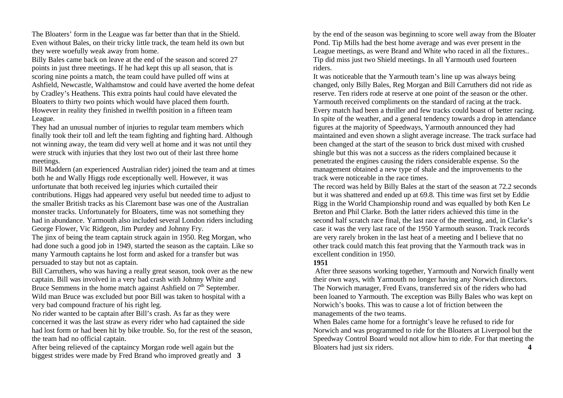The Bloaters' form in the League was far better than that in the Shield. Even without Bales, on their tricky little track, the team held its own but they were woefully weak away from home.

Billy Bales came back on leave at the end of the season and scored 27 points in just three meetings. If he had kept this up all season, that is scoring nine points a match, the team could have pulled off wins at Ashfield, Newcastle, Walthamstow and could have averted the home defeat by Cradley's Heathens. This extra points haul could have elevated the Bloaters to thirty two points which would have placed them fourth. However in reality they finished in twelfth position in a fifteen team League.

They had an unusual number of injuries to regular team members which finally took their toll and left the team fighting and fighting hard. Although not winning away, the team did very well at home and it was not until they were struck with injuries that they lost two out of their last three home meetings.

Bill Maddern (an experienced Australian rider) joined the team and at times both he and Wally Higgs rode exceptionally well. However, it was unfortunate that both received leg injuries which curtailed their contributions. Higgs had appeared very useful but needed time to adjust to the smaller British tracks as his Claremont base was one of the Australian monster tracks. Unfortunately for Bloaters, time was not something they had in abundance. Yarmouth also included several London riders including George Flower, Vic Ridgeon, Jim Purdey and Johnny Fry.

The jinx of being the team captain struck again in 1950. Reg Morgan, who had done such a good job in 1949, started the season as the captain. Like so many Yarmouth captains he lost form and asked for a transfer but was persuaded to stay but not as captain.

Bill Carruthers, who was having a really great season, took over as the new captain. Bill was involved in a very bad crash with Johnny White and Bruce Semmens in the home match against Ashfield on  $7<sup>th</sup>$  September. Wild man Bruce was excluded but poor Bill was taken to hospital with a very bad compound fracture of his right leg.

No rider wanted to be captain after Bill's crash. As far as they were concerned it was the last straw as every rider who had captained the side had lost form or had been hit by bike trouble. So, for the rest of the season, the team had no official captain.

After being relieved of the captaincy Morgan rode well again but the biggest strides were made by Fred Brand who improved greatly and **3**

by the end of the season was beginning to score well away from the Bloater Pond. Tip Mills had the best home average and was ever present in the League meetings, as were Brand and White who raced in all the fixtures.. Tip did miss just two Shield meetings. In all Yarmouth used fourteen riders.

It was noticeable that the Yarmouth team's line up was always being changed, only Billy Bales, Reg Morgan and Bill Carruthers did not ride as reserve. Ten riders rode at reserve at one point of the season or the other. Yarmouth received compliments on the standard of racing at the track. Every match had been a thriller and few tracks could boast of better racing. In spite of the weather, and a general tendency towards a drop in attendance figures at the majority of Speedways, Yarmouth announced they had maintained and even shown a slight average increase. The track surface had been changed at the start of the season to brick dust mixed with crushed shingle but this was not a success as the riders complained because it penetrated the engines causing the riders considerable expense. So the management obtained a new type of shale and the improvements to the track were noticeable in the race times.

The record was held by Billy Bales at the start of the season at 72.2 seconds but it was shattered and ended up at 69.8. This time was first set by Eddie Rigg in the World Championship round and was equalled by both Ken Le Breton and Phil Clarke. Both the latter riders achieved this time in the second half scratch race final, the last race of the meeting, and, in Clarke's case it was the very last race of the 1950 Yarmouth season. Track records are very rarely broken in the last heat of a meeting and I believe that no other track could match this feat proving that the Yarmouth track was in excellent condition in 1950.

#### **1951**

After three seasons working together, Yarmouth and Norwich finally went their own ways, with Yarmouth no longer having any Norwich directors. The Norwich manager, Fred Evans, transferred six of the riders who had been loaned to Yarmouth. The exception was Billy Bales who was kept on Norwich's books. This was to cause a lot of friction between the managements of the two teams.

When Bales came home for a fortnight's leave he refused to ride for Norwich and was programmed to ride for the Bloaters at Liverpool but the Speedway Control Board would not allow him to ride. For that meeting the Bloaters had just six riders. **4**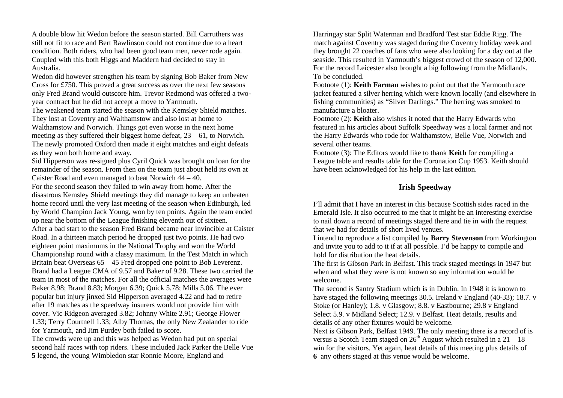A double blow hit Wedon before the season started. Bill Carruthers was still not fit to race and Bert Rawlinson could not continue due to a heart condition. Both riders, who had been good team men, never rode again. Coupled with this both Higgs and Maddern had decided to stay in Australia.

Wedon did however strengthen his team by signing Bob Baker from New Cross for £750. This proved a great success as over the next few seasons only Fred Brand would outscore him. Trevor Redmond was offered a twoyear contract but he did not accept a move to Yarmouth.

The weakened team started the season with the Kemsley Shield matches. They lost at Coventry and Walthamstow and also lost at home to Walthamstow and Norwich. Things got even worse in the next home meeting as they suffered their biggest home defeat, 23 – 61, to Norwich. The newly promoted Oxford then made it eight matches and eight defeats as they won both home and away.

Sid Hipperson was re-signed plus Cyril Quick was brought on loan for the remainder of the season. From then on the team just about held its own at Caister Road and even managed to beat Norwich 44 – 40.

For the second season they failed to win away from home. After the disastrous Kemsley Shield meetings they did manage to keep an unbeaten home record until the very last meeting of the season when Edinburgh, led by World Champion Jack Young, won by ten points. Again the team ended up near the bottom of the League finishing eleventh out of sixteen. After a bad start to the season Fred Brand became near invincible at Caister Road. In a thirteen match period he dropped just two points. He had two eighteen point maximums in the National Trophy and won the World Championship round with a classy maximum. In the Test Match in which Britain beat Overseas 65 – 45 Fred dropped one point to Bob Leverenz. Brand had a League CMA of 9.57 and Baker of 9.28. These two carried the team in most of the matches. For all the official matches the averages were Baker 8.98; Brand 8.83; Morgan 6.39; Quick 5.78; Mills 5.06. The ever popular but injury jinxed Sid Hipperson averaged 4.22 and had to retire after 19 matches as the speedway insurers would not provide him with cover. Vic Ridgeon averaged 3.82; Johnny White 2.91; George Flower 1.33; Terry Courtnell 1.33; Alby Thomas, the only New Zealander to ride for Yarmouth, and Jim Purdey both failed to score.

The crowds were up and this was helped as Wedon had put on special second half races with top riders. These included Jack Parker the Belle Vue **5** legend, the young Wimbledon star Ronnie Moore, England and

Harringay star Split Waterman and Bradford Test star Eddie Rigg. The match against Coventry was staged during the Coventry holiday week and they brought 22 coaches of fans who were also looking for a day out at the seaside. This resulted in Yarmouth's biggest crowd of the season of 12,000. For the record Leicester also brought a big following from the Midlands. To be concluded.

Footnote (1): **Keith Farman** wishes to point out that the Yarmouth race jacket featured a silver herring which were known locally (and elsewhere in fishing communities) as "Silver Darlings." The herring was smoked to manufacture a bloater.

Footnote (2): **Keith** also wishes it noted that the Harry Edwards who featured in his articles about Suffolk Speedway was a local farmer and not the Harry Edwards who rode for Walthamstow, Belle Vue, Norwich and several other teams.

Footnote (3): The Editors would like to thank **Keith** for compiling a League table and results table for the Coronation Cup 1953. Keith should have been acknowledged for his help in the last edition.

### **Irish Speedway**

I'll admit that I have an interest in this because Scottish sides raced in the Emerald Isle. It also occurred to me that it might be an interesting exercise to nail down a record of meetings staged there and tie in with the request that we had for details of short lived venues.

I intend to reproduce a list compiled by **Barry Stevenson** from Workington and invite you to add to it if at all possible. I'd be happy to compile and hold for distribution the heat details.

The first is Gibson Park in Belfast. This track staged meetings in 1947 but when and what they were is not known so any information would be welcome.

The second is Santry Stadium which is in Dublin. In 1948 it is known to have staged the following meetings 30.5. Ireland v England (40-33); 18.7. v Stoke (or Hanley); 1.8. v Glasgow; 8.8. v Eastbourne; 29.8 v England Select 5.9. v Midland Select; 12.9. v Belfast. Heat details, results and details of any other fixtures would be welcome.

Next is Gibson Park, Belfast 1949. The only meeting there is a record of is versus a Scotch Team staged on  $26<sup>th</sup>$  August which resulted in a 21 – 18 win for the visitors. Yet again, heat details of this meeting plus details of **6** any others staged at this venue would be welcome.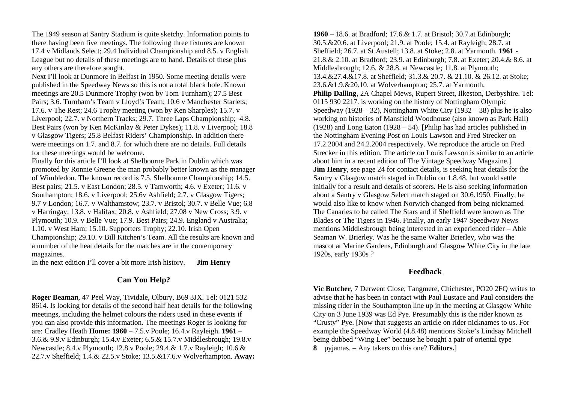The 1949 season at Santry Stadium is quite sketchy. Information points to there having been five meetings. The following three fixtures are known 17.4 v Midlands Select; 29.4 Individual Championship and 8.5. v English League but no details of these meetings are to hand. Details of these plus any others are therefore sought.

Next I'll look at Dunmore in Belfast in 1950. Some meeting details were published in the Speedway News so this is not a total black hole. Known meetings are 20.5 Dunmore Trophy (won by Tom Turnham); 27.5 Best Pairs; 3.6. Turnham's Team v Lloyd's Team; 10.6 v Manchester Starlets; 17.6. v The Rest; 24.6 Trophy meeting (won by Ken Sharples); 15.7. v Liverpool; 22.7. v Northern Tracks; 29.7. Three Laps Championship; 4.8. Best Pairs (won by Ken McKinlay & Peter Dykes); 11.8. v Liverpool; 18.8 v Glasgow Tigers; 25.8 Belfast Riders' Championship. In addition there were meetings on 1.7. and 8.7. for which there are no details. Full details for these meetings would be welcome.

Finally for this article I'll look at Shelbourne Park in Dublin which was promoted by Ronnie Greene the man probably better known as the manager of Wimbledon. The known record is 7.5. Shelbourne Championship; 14.5. Best pairs; 21.5. v East London; 28.5. v Tamworth; 4.6. v Exeter; 11.6. v Southampton; 18.6. v Liverpool; 25.6v Ashfield; 2.7. v Glasgow Tigers; 9.7 v London; 16.7. v Walthamstow; 23.7. v Bristol; 30.7. v Belle Vue; 6.8 v Harringay; 13.8. v Halifax; 20.8. v Ashfield; 27.08 v New Cross; 3.9. v Plymouth; 10.9. v Belle Vue; 17.9. Best Pairs; 24.9. England v Australia; 1.10. v West Ham; 15.10. Supporters Trophy; 22.10. Irish Open Championship; 29.10. v Bill Kitchen's Team. All the results are known and a number of the heat details for the matches are in the contemporary magazines.

In the next edition I'll cover a bit more Irish history. **Jim Henry**

#### **Can You Help?**

**Roger Beaman**, 47 Peel Way, Tividale, Olbury, B69 3JX. Tel: 0121 532 8614. Is looking for details of the second half heat details for the following meetings, including the helmet colours the riders used in these events if you can also provide this information. The meetings Roger is looking for are: Cradley Heath **Home: 1960** – 7.5.v Poole; 16.4.v Rayleigh. **1961** – 3.6.& 9.9.v Edinburgh; 15.4.v Exeter; 6.5.& 15.7.v Middlesbrough; 19.8.v Newcastle; 8.4.v Plymouth; 12.8.v Poole; 29.4.& 1.7.v Rayleigh; 10.6.& 22.7.v Sheffield; 1.4.& 22.5.v Stoke; 13.5.&17.6.v Wolverhampton. **Away:** 

**1960** – 18.6. at Bradford; 17.6.& 1.7. at Bristol; 30.7.at Edinburgh; 30.5.&20.6. at Liverpool; 21.9. at Poole; 15.4. at Rayleigh; 28.7. at Sheffield; 26.7. at St Austell; 13.8. at Stoke; 2.8. at Yarmouth. **1961** - 21.8.& 2.10. at Bradford; 23.9. at Edinburgh; 7.8. at Exeter; 20.4.& 8.6. at Middlesbrough; 12.6. & 28.8. at Newcastle; 11.8. at Plymouth; 13.4.&27.4.&17.8. at Sheffield; 31.3.& 20.7. & 21.10. & 26.12. at Stoke; 23.6.&1.9.&20.10. at Wolverhampton; 25.7. at Yarmouth. **Philip Dalling**, 2A Chapel Mews, Rupert Street, Ilkeston, Derbyshire. Tel: 0115 930 2217. is working on the history of Nottingham Olympic Speedway (1928 – 32), Nottingham White City (1932 – 38) plus he is also working on histories of Mansfield Woodhouse (also known as Park Hall) (1928) and Long Eaton (1928 – 54). [Philip has had articles published in the Nottingham Evening Post on Louis Lawson and Fred Strecker on 17.2.2004 and 24.2.2004 respectively. We reproduce the article on Fred Strecker in this edition. The article on Louis Lawson is similar to an article about him in a recent edition of The Vintage Speedway Magazine.] **Jim Henry**, see page 24 for contact details, is seeking heat details for the Santry v Glasgow match staged in Dublin on 1.8.48. but would settle initially for a result and details of scorers. He is also seeking information about a Santry v Glasgow Select match staged on 30.6.1950. Finally, he would also like to know when Norwich changed from being nicknamed The Canaries to be called The Stars and if Sheffield were known as The Blades or The Tigers in 1946. Finally, an early 1947 Speedway News mentions Middlesbrough being interested in an experienced rider – Able Seaman W. Brierley. Was he the same Walter Brierley, who was the mascot at Marine Gardens, Edinburgh and Glasgow White City in the late 1920s, early 1930s ?

#### **Feedback**

**Vic Butcher**, 7 Derwent Close, Tangmere, Chichester, PO20 2FQ writes to advise that he has been in contact with Paul Eustace and Paul considers the missing rider in the Southampton line up in the meeting at Glasgow White City on 3 June 1939 was Ed Pye. Presumably this is the rider known as "Crusty" Pye. [Now that suggests an article on rider nicknames to us. For example the Speedway World (4.8.48) mentions Stoke's Lindsay Mitchell being dubbed "Wing Lee" because he bought a pair of oriental type **8** pyjamas. – Any takers on this one? **Editors.**]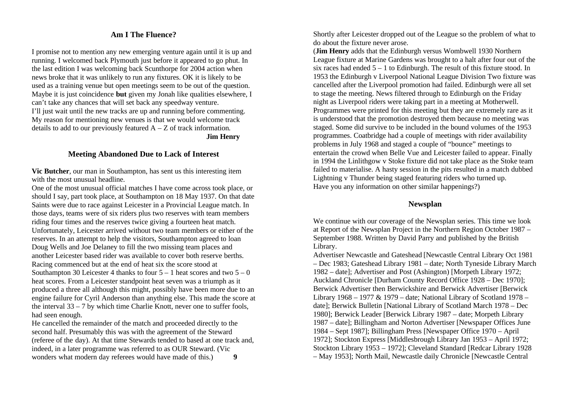### **Am I The Fluence?**

I promise not to mention any new emerging venture again until it is up and running. I welcomed back Plymouth just before it appeared to go phut. In the last edition I was welcoming back Scunthorpe for 2004 action when news broke that it was unlikely to run any fixtures. OK it is likely to be used as a training venue but open meetings seem to be out of the question. Maybe it is just coincidence **but** given my Jonah like qualities elsewhere, I can't take any chances that will set back any speedway venture. I'll just wait until the new tracks are up and running before commenting. My reason for mentioning new venues is that we would welcome track details to add to our previously featured  $A - Z$  of track information. **Jim Henry**

#### **Meeting Abandoned Due to Lack of Interest**

**Vic Butcher**, our man in Southampton, has sent us this interesting item with the most unusual headline.

One of the most unusual official matches I have come across took place, or should I say, part took place, at Southampton on 18 May 1937. On that date Saints were due to race against Leicester in a Provincial League match. In those days, teams were of six riders plus two reserves with team members riding four times and the reserves twice giving a fourteen heat match. Unfortunately, Leicester arrived without two team members or either of the reserves. In an attempt to help the visitors, Southampton agreed to loan Doug Wells and Joe Delaney to fill the two missing team places and another Leicester based rider was available to cover both reserve berths. Racing commenced but at the end of heat six the score stood at Southampton 30 Leicester 4 thanks to four  $5 - 1$  heat scores and two  $5 - 0$ heat scores. From a Leicester standpoint heat seven was a triumph as it produced a three all although this might, possibly have been more due to an engine failure for Cyril Anderson than anything else. This made the score at the interval  $33 - 7$  by which time Charlie Knott, never one to suffer fools, had seen enough.

He cancelled the remainder of the match and proceeded directly to the second half. Presumably this was with the agreement of the Steward (referee of the day). At that time Stewards tended to based at one track and, indeed, in a later programme was referred to as OUR Steward. (Vic wonders what modern day referees would have made of this.) **9**

Shortly after Leicester dropped out of the League so the problem of what to do about the fixture never arose.

(**Jim Henry** adds that the Edinburgh versus Wombwell 1930 Northern League fixture at Marine Gardens was brought to a halt after four out of the six races had ended  $5 - 1$  to Edinburgh. The result of this fixture stood. In 1953 the Edinburgh v Liverpool National League Division Two fixture was cancelled after the Liverpool promotion had failed. Edinburgh were all set to stage the meeting. News filtered through to Edinburgh on the Friday night as Liverpool riders were taking part in a meeting at Motherwell. Programmes were printed for this meeting but they are extremely rare as it is understood that the promotion destroyed them because no meeting was staged. Some did survive to be included in the bound volumes of the 1953 programmes. Coatbridge had a couple of meetings with rider availability problems in July 1968 and staged a couple of "bounce" meetings to entertain the crowd when Belle Vue and Leicester failed to appear. Finally in 1994 the Linlithgow v Stoke fixture did not take place as the Stoke team failed to materialise. A hasty session in the pits resulted in a match dubbed Lightning v Thunder being staged featuring riders who turned up. Have you any information on other similar happenings?)

### **Newsplan**

We continue with our coverage of the Newsplan series. This time we look at Report of the Newsplan Project in the Northern Region October 1987 – September 1988. Written by David Parry and published by the British Library.

Advertiser Newcastle and Gateshead [Newcastle Central Library Oct 1981 – Dec 1983; Gateshead Library 1981 – date; North Tyneside Library March 1982 – date]; Advertiser and Post (Ashington) [Morpeth Library 1972; Auckland Chronicle [Durham County Record Office 1928 – Dec 1970]; Berwick Advertiser then Berwickshire and Berwick Advertiser [Berwick Library 1968 – 1977 & 1979 – date; National Library of Scotland 1978 – date]; Berwick Bulletin [National Library of Scotland March 1978 – Dec 1980]; Berwick Leader [Berwick Library 1987 – date; Morpeth Library 1987 – date]; Billingham and Norton Advertiser [Newspaper Offices June 1984 – Sept 1987]; Billingham Press [Newspaper Office 1970 – April 1972]; Stockton Express [Middlesbrough Library Jan 1953 – April 1972; Stockton Library 1953 – 1972]; Cleveland Standard [Redcar Library 1928 – May 1953]; North Mail, Newcastle daily Chronicle [Newcastle Central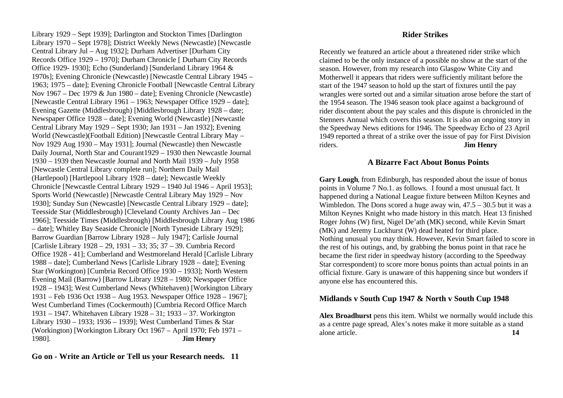Library 1929 – Sept 1939]; Darlington and Stockton Times [Darlington Library 1970 – Sept 1978]; District Weekly News (Newcastle) [Newcastle Central Library Jul – Aug 1932]; Durham Advertiser [Durham City Records Office 1929 – 1970]; Durham Chronicle [ Durham City Records Office 1929- 1930]; Echo (Sunderland) [Sunderland Library 1964 & 1970s]; Evening Chronicle (Newcastle) [Newcastle Central Library 1945 – 1963; 1975 – date]; Evening Chronicle Football [Newcastle Central Library Nov 1967 – Dec 1979 & Jun 1980 – date]; Evening Chronicle (Newcastle) [Newcastle Central Library 1961 – 1963; Newspaper Office 1929 – date]; Evening Gazette (Middlesbrough) [Middlesbrough Library 1928 – date; Newspaper Office 1928 – date]; Evening World (Newcastle) [Newcastle Central Library May 1929 – Sept 1930; Jan 1931 – Jan 1932]; Evening World (Newcastle)(Football Edition) [Newcastle Central Library May – Nov 1929 Aug 1930 – May 1931]; Journal (Newcastle) then Newcastle Daily Journal, North Star and Courant1929 – 1930 then Newcastle Journal 1930 – 1939 then Newcastle Journal and North Mail 1939 – July 1958 [Newcastle Central Library complete run]; Northern Daily Mail (Hartlepool) [Hartlepool Library 1928 – date]; Newcastle Weekly Chronicle [Newcastle Central Library 1929 – 1940 Jul 1946 – April 1953]; Sports World (Newcastle) [Newcastle Central Library May 1929 – Nov 1930]; Sunday Sun (Newcastle) [Newcastle Central Library 1929 – date]; Teesside Star (Middlesbrough) [Cleveland County Archives Jan – Dec 1966]; Teesside Times (Middlesbrough) [Middlesbrough Library Aug 1986 – date]; Whitley Bay Seaside Chronicle [North Tyneside Library 1929]; Barrow Guardian [Barrow Library 1928 – July 1947]; Carlisle Journal [Carlisle Library 1928 – 29, 1931 – 33; 35; 37 – 39. Cumbria Record Office 1928 - 41]; Cumberland and Westmoreland Herald [Carlisle Library 1988 – date]; Cumberland News [Carlisle Library 1928 – date]; Evening Star (Workington) [Cumbria Record Office 1930 – 1933]; North Western Evening Mail (Barrow) [Barrow Library 1928 – 1980; Newspaper Office 1928 – 1943]; West Cumberland News (Whitehaven) [Workington Library 1931 – Feb 1936 Oct 1938 – Aug 1953. Newspaper Office 1928 – 1967]; West Cumberland Times (Cockermouth) [Cumbria Record Office March 1931 – 1947. Whitehaven Library 1928 – 31; 1933 – 37. Workington Library 1930 – 1933; 1936 – 1939]; West Cumberland Times & Star (Workington) [Workington Library Oct 1967 – April 1970; Feb 1971 – 1980]. **Jim Henry**

#### **Go on - Write an Article or Tell us your Research needs. 11**

#### **Rider Strikes**

Recently we featured an article about a threatened rider strike which claimed to be the only instance of a possible no show at the start of the season. However, from my research into Glasgow White City and Motherwell it appears that riders were sufficiently militant before the start of the 1947 season to hold up the start of fixtures until the pay wrangles were sorted out and a similar situation arose before the start of the 1954 season. The 1946 season took place against a background of rider discontent about the pay scales and this dispute is chronicled in the Stenners Annual which covers this season. It is also an ongoing story in the Speedway News editions for 1946. The Speedway Echo of 23 April 1949 reported a threat of a strike over the issue of pay for First Division riders. **Jim Henry**

### **A Bizarre Fact About Bonus Points**

**Gary Lough**, from Edinburgh, has responded about the issue of bonus points in Volume 7 No.1. as follows. I found a most unusual fact. It happened during a National League fixture between Milton Keynes and Wimbledon. The Dons scored a huge away win,  $47.5 - 30.5$  but it was a Milton Keynes Knight who made history in this match. Heat 13 finished Roger Johns (W) first, Nigel De'ath (MK) second, while Kevin Smart (MK) and Jeremy Luckhurst (W) dead heated for third place. Nothing unusual you may think. However, Kevin Smart failed to score in the rest of his outings, and, by grabbing the bonus point in that race he became the first rider in speedway history (according to the Speedway Star correspondent) to score more bonus points than actual points in an official fixture. Gary is unaware of this happening since but wonders if anyone else has encountered this.

#### **Midlands v South Cup 1947 & North v South Cup 1948**

**Alex Broadhurst** pens this item. Whilst we normally would include this as a centre page spread, Alex's notes make it more suitable as a stand alone article. **14**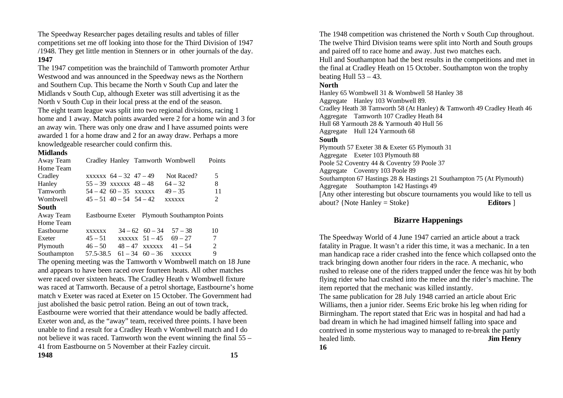The Speedway Researcher pages detailing results and tables of filler competitions set me off looking into those for the Third Division of 1947 /1948. They get little mention in Stenners or in other journals of the day. **1947**

The 1947 competition was the brainchild of Tamworth promoter Arthur Westwood and was announced in the Speedway news as the Northern and Southern Cup. This became the North v South Cup and later the Midlands v South Cup, although Exeter was still advertising it as the North v South Cup in their local press at the end of the season. The eight team league was split into two regional divisions, racing 1 home and 1 away. Match points awarded were 2 for a home win and 3 for an away win. There was only one draw and I have assumed points were awarded 1 for a home draw and 2 for an away draw. Perhaps a more knowledgeable researcher could confirm this.

#### **Midlands**

| Away Team       |                               |                         | Cradley Hanley Tamworth Wombwell              | Points |
|-----------------|-------------------------------|-------------------------|-----------------------------------------------|--------|
| Home Team       |                               |                         |                                               |        |
| Cradley         | $xxxxx - 64 - 32 + 47 - 49$   |                         | Not Raced?                                    | 5      |
| Hanley          | $55 - 39$ xxxxxx $48 - 48$    |                         | $64 - 32$                                     | 8      |
| <b>Tamworth</b> | $54 - 42$ 60 - 35 xxxxx       |                         | $49 - 35$                                     | 11     |
| Wombwell        | $45 - 51$ $40 - 54$ $54 - 42$ |                         | <b>XXXXXX</b>                                 | 2      |
| South           |                               |                         |                                               |        |
| Away Team       |                               |                         | Eastbourne Exeter Plymouth Southampton Points |        |
| Home Team       |                               |                         |                                               |        |
| Eastbourne      | <b>XXXXXX</b>                 | $34 - 62 \quad 60 - 34$ | $57 - 38$                                     | 10     |
| Exeter          | $45 - 51$                     | $xxxxx \quad 51 - 45$   | $69 - 27$                                     | 7      |
| Plymouth        | $46 - 50$                     | $48-47$ xxxxxx          | $41 - 54$                                     | 2      |
| Southampton     | 57.5-38.5                     | $61 - 34$ $60 - 36$     | <b>XXXXXX</b>                                 | 9      |

The opening meeting was the Tamworth v Wombwell match on 18 June and appears to have been raced over fourteen heats. All other matches were raced over sixteen heats. The Cradley Heath v Wombwell fixture was raced at Tamworth. Because of a petrol shortage, Eastbourne's home match v Exeter was raced at Exeter on 15 October. The Government had just abolished the basic petrol ration. Being an out of town track, Eastbourne were worried that their attendance would be badly affected. Exeter won and, as the "away" team, received three points. I have been unable to find a result for a Cradley Heath v Wombwell match and I do not believe it was raced. Tamworth won the event winning the final 55 – 41 from Eastbourne on 5 November at their Fazley circuit.

**1948 15**

The 1948 competition was christened the North v South Cup throughout. The twelve Third Division teams were split into North and South groups and paired off to race home and away. Just two matches each. Hull and Southampton had the best results in the competitions and met in the final at Cradley Heath on 15 October. Southampton won the trophy beating Hull  $53 - 43$ .

#### **North**

Hanley 65 Wombwell 31 & Wombwell 58 Hanley 38 Aggregate Hanley 103 Wombwell 89. Cradley Heath 38 Tamworth 58 (At Hanley) & Tamworth 49 Cradley Heath 46 Aggregate Tamworth 107 Cradley Heath 84 Hull 68 Yarmouth 28 & Yarmouth 40 Hull 56 Aggregate Hull 124 Yarmouth 68 **South** Plymouth 57 Exeter 38 & Exeter 65 Plymouth 31 Aggregate Exeter 103 Plymouth 88 Poole 52 Coventry 44 & Coventry 59 Poole 37 Aggregate Coventry 103 Poole 89 Southampton 67 Hastings 28 & Hastings 21 Southampton 75 (At Plymouth) Aggregate Southampton 142 Hastings 49 [Any other interesting but obscure tournaments you would like to tell us about? {Note Hanley = Stoke} **Editors** ]

### **Bizarre Happenings**

The Speedway World of 4 June 1947 carried an article about a track fatality in Prague. It wasn't a rider this time, it was a mechanic. In a ten man handicap race a rider crashed into the fence which collapsed onto the track bringing down another four riders in the race. A mechanic, who rushed to release one of the riders trapped under the fence was hit by both flying rider who had crashed into the melee and the rider's machine. The item reported that the mechanic was killed instantly.

The same publication for 28 July 1948 carried an article about Eric Williams, then a junior rider. Seems Eric broke his leg when riding for Birmingham. The report stated that Eric was in hospital and had had a bad dream in which he had imagined himself falling into space and contrived in some mysterious way to managed to re-break the partly healed limb. **Jim Henry**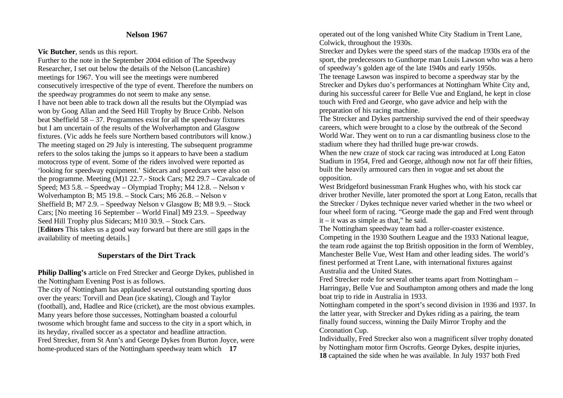#### **Nelson 1967**

#### **Vic Butcher**, sends us this report.

Further to the note in the September 2004 edition of The Speedway Researcher, I set out below the details of the Nelson (Lancashire) meetings for 1967. You will see the meetings were numbered consecutively irrespective of the type of event. Therefore the numbers on the speedway programmes do not seem to make any sense. I have not been able to track down all the results but the Olympiad was won by Goog Allan and the Seed Hill Trophy by Bruce Cribb. Nelson beat Sheffield  $58 - 37$ . Programmes exist for all the speedway fixtures but I am uncertain of the results of the Wolverhampton and Glasgow fixtures. (Vic adds he feels sure Northern based contributors will know.) The meeting staged on 29 July is interesting. The subsequent programme refers to the solos taking the jumps so it appears to have been a stadium motocross type of event. Some of the riders involved were reported as 'looking for speedway equipment.' Sidecars and speedcars were also on the programme. Meeting (M)1 22.7.- Stock Cars; M2 29.7 – Cavalcade of Speed; M3 5.8. – Speedway – Olympiad Trophy; M4 12.8. – Nelson v Wolverhampton B; M5 19.8. – Stock Cars; M6 26.8. – Nelson v Sheffield B; M7 2.9. – Speedway Nelson v Glasgow B; M8 9.9. – Stock Cars; [No meeting 16 September – World Final] M9 23.9. – Speedway Seed Hill Trophy plus Sidecars; M10 30.9. – Stock Cars. [**Editors** This takes us a good way forward but there are still gaps in the availability of meeting details.]

### **Superstars of the Dirt Track**

**Philip Dalling's** article on Fred Strecker and George Dykes, published in the Nottingham Evening Post is as follows.

The city of Nottingham has applauded several outstanding sporting duos over the years: Torvill and Dean (ice skating), Clough and Taylor (football), and, Hadlee and Rice (cricket), are the most obvious examples. Many years before those successes, Nottingham boasted a colourful twosome which brought fame and success to the city in a sport which, in its heyday, rivalled soccer as a spectator and headline attraction. Fred Strecker, from St Ann's and George Dykes from Burton Joyce, were home-produced stars of the Nottingham speedway team which **17**

operated out of the long vanished White City Stadium in Trent Lane, Colwick, throughout the 1930s.

Strecker and Dykes were the speed stars of the madcap 1930s era of the sport, the predecessors to Gunthorpe man Louis Lawson who was a hero of speedway's golden age of the late 1940s and early 1950s.

The teenage Lawson was inspired to become a speedway star by the Strecker and Dykes duo's performances at Nottingham White City and, during his successful career for Belle Vue and England, he kept in close touch with Fred and George, who gave advice and help with the preparation of his racing machine.

The Strecker and Dykes partnership survived the end of their speedway careers, which were brought to a close by the outbreak of the Second World War. They went on to run a car dismantling business close to the stadium where they had thrilled huge pre-war crowds.

When the new craze of stock car racing was introduced at Long Eaton Stadium in 1954, Fred and George, although now not far off their fifties, built the heavily armoured cars then in vogue and set about the opposition.

West Bridgeford businessman Frank Hughes who, with his stock car driver brother Neville, later promoted the sport at Long Eaton, recalls that the Strecker / Dykes technique never varied whether in the two wheel or four wheel form of racing. "George made the gap and Fred went through it – it was as simple as that," he said.

The Nottingham speedway team had a roller-coaster existence. Competing in the 1930 Southern League and the 1933 National league, the team rode against the top British opposition in the form of Wembley, Manchester Belle Vue, West Ham and other leading sides. The world's finest performed at Trent Lane, with international fixtures against Australia and the United States.

Fred Strecker rode for several other teams apart from Nottingham – Harringay, Belle Vue and Southampton among others and made the long boat trip to ride in Australia in 1933.

Nottingham competed in the sport's second division in 1936 and 1937. In the latter year, with Strecker and Dykes riding as a pairing, the team finally found success, winning the Daily Mirror Trophy and the Coronation Cup.

Individually, Fred Strecker also won a magnificent silver trophy donated by Nottingham motor firm Oscrofts. George Dykes, despite injuries, **18** captained the side when he was available. In July 1937 both Fred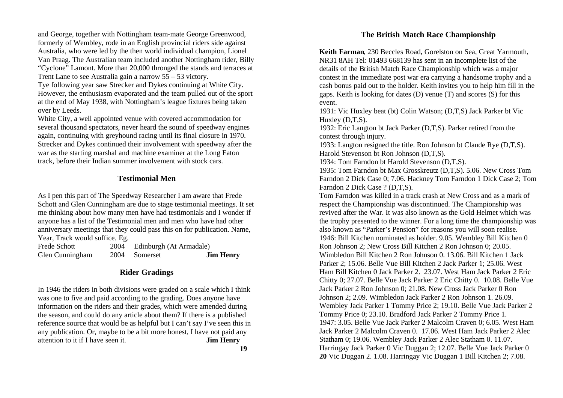and George, together with Nottingham team-mate George Greenwood, formerly of Wembley, rode in an English provincial riders side against Australia, who were led by the then world individual champion, Lionel Van Praag. The Australian team included another Nottingham rider, Billy "Cyclone" Lamont. More than 20,000 thronged the stands and terraces at Trent Lane to see Australia gain a narrow 55 – 53 victory. Tye following year saw Strecker and Dykes continuing at White City.

However, the enthusiasm evaporated and the team pulled out of the sport at the end of May 1938, with Nottingham's league fixtures being taken over by Leeds.

White City, a well appointed venue with covered accommodation for several thousand spectators, never heard the sound of speedway engines again, continuing with greyhound racing until its final closure in 1970. Strecker and Dykes continued their involvement with speedway after the war as the starting marshal and machine examiner at the Long Eaton track, before their Indian summer involvement with stock cars.

### **Testimonial Men**

As I pen this part of The Speedway Researcher I am aware that Frede Schott and Glen Cunningham are due to stage testimonial meetings. It set me thinking about how many men have had testimonials and I wonder if anyone has a list of the Testimonial men and men who have had other anniversary meetings that they could pass this on for publication. Name, Year, Track would suffice. Eg.

| <b>Frede Schott</b> | 2004 | Edinburgh (At Armadale) |                  |
|---------------------|------|-------------------------|------------------|
| Glen Cunningham     |      | 2004 Somerset           | <b>Jim Henry</b> |

#### **Rider Gradings**

In 1946 the riders in both divisions were graded on a scale which I think was one to five and paid according to the grading. Does anyone have information on the riders and their grades, which were amended during the season, and could do any article about them? If there is a published reference source that would be as helpful but I can't say I've seen this in any publication. Or, maybe to be a bit more honest, I have not paid any attention to it if I have seen it. **Jim Henry**

### **The British Match Race Championship**

**Keith Farman**, 230 Beccles Road, Gorelston on Sea, Great Yarmouth, NR31 8AH Tel: 01493 668139 has sent in an incomplete list of the details of the British Match Race Championship which was a major contest in the immediate post war era carrying a handsome trophy and a cash bonus paid out to the holder. Keith invites you to help him fill in the gaps. Keith is looking for dates (D) venue (T) and scores (S) for this event.

1931: Vic Huxley beat (bt) Colin Watson; (D,T,S) Jack Parker bt Vic Huxley (D,T,S).

1932: Eric Langton bt Jack Parker (D,T,S). Parker retired from the contest through injury.

1933: Langton resigned the title. Ron Johnson bt Claude Rye (D,T,S). Harold Stevenson bt Ron Johnson (D,T,S).

1934: Tom Farndon bt Harold Stevenson (D,T,S).

1935: Tom Farndon bt Max Grosskreutz (D,T,S). 5.06. New Cross Tom Farndon 2 Dick Case 0; 7.06. Hackney Tom Farndon 1 Dick Case 2; Tom Farndon 2 Dick Case ? (D,T,S).

Tom Farndon was killed in a track crash at New Cross and as a mark of respect the Championship was discontinued. The Championship was revived after the War. It was also known as the Gold Helmet which was the trophy presented to the winner. For a long time the championship was also known as "Parker's Pension" for reasons you will soon realise. 1946: Bill Kitchen nominated as holder. 9.05. Wembley Bill Kitchen 0 Ron Johnson 2; New Cross Bill Kitchen 2 Ron Johnson 0; 20.05. Wimbledon Bill Kitchen 2 Ron Johnson 0. 13.06. Bill Kitchen 1 Jack Parker 2; 15.06. Belle Vue Bill Kitchen 2 Jack Parker 1; 25.06. West Ham Bill Kitchen 0 Jack Parker 2. 23.07. West Ham Jack Parker 2 Eric Chitty 0; 27.07. Belle Vue Jack Parker 2 Eric Chitty 0. 10.08. Belle Vue Jack Parker 2 Ron Johnson 0; 21.08. New Cross Jack Parker 0 Ron Johnson 2; 2.09. Wimbledon Jack Parker 2 Ron Johnson 1. 26.09. Wembley Jack Parker 1 Tommy Price 2; 19.10. Belle Vue Jack Parker 2 Tommy Price 0; 23.10. Bradford Jack Parker 2 Tommy Price 1. 1947: 3.05. Belle Vue Jack Parker 2 Malcolm Craven 0; 6.05. West Ham Jack Parker 2 Malcolm Craven 0. 17.06. West Ham Jack Parker 2 Alec Statham 0; 19.06. Wembley Jack Parker 2 Alec Statham 0. 11.07. Harringay Jack Parker 0 Vic Duggan 2; 12.07. Belle Vue Jack Parker 0 **20** Vic Duggan 2. 1.08. Harringay Vic Duggan 1 Bill Kitchen 2; 7.08.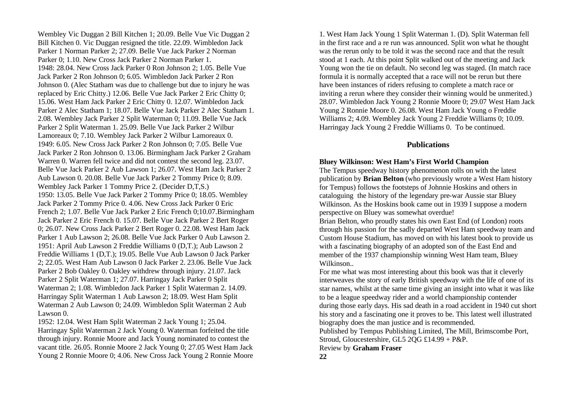Wembley Vic Duggan 2 Bill Kitchen 1; 20.09. Belle Vue Vic Duggan 2 Bill Kitchen 0. Vic Duggan resigned the title. 22.09. Wimbledon Jack Parker 1 Norman Parker 2; 27.09. Belle Vue Jack Parker 2 Norman Parker 0; 1.10. New Cross Jack Parker 2 Norman Parker 1. 1948: 28.04. New Cross Jack Parker 0 Ron Johnson 2; 1.05. Belle Vue Jack Parker 2 Ron Johnson 0; 6.05. Wimbledon Jack Parker 2 Ron Johnson 0. (Alec Statham was due to challenge but due to injury he was replaced by Eric Chitty.) 12.06. Belle Vue Jack Parker 2 Eric Chitty 0; 15.06. West Ham Jack Parker 2 Eric Chitty 0. 12.07. Wimbledon Jack Parker 2 Alec Statham 1; 18.07. Belle Vue Jack Parker 2 Alec Statham 1. 2.08. Wembley Jack Parker 2 Split Waterman 0; 11.09. Belle Vue Jack Parker 2 Split Waterman 1. 25.09. Belle Vue Jack Parker 2 Wilbur Lamoreaux 0; 7.10. Wembley Jack Parker 2 Wilbur Lamoreaux 0. 1949: 6.05. New Cross Jack Parker 2 Ron Johnson 0; 7.05. Belle Vue Jack Parker 2 Ron Johnson 0. 13.06. Birmingham Jack Parker 2 Graham Warren 0. Warren fell twice and did not contest the second leg. 23.07. Belle Vue Jack Parker 2 Aub Lawson 1; 26.07. West Ham Jack Parker 2 Aub Lawson 0. 20.08. Belle Vue Jack Parker 2 Tommy Price 0; 8.09. Wembley Jack Parker 1 Tommy Price 2. (Decider D,T,S.) 1950: 13.05. Belle Vue Jack Parker 2 Tommy Price 0; 18.05. Wembley Jack Parker 2 Tommy Price 0. 4.06. New Cross Jack Parker 0 Eric French 2; 1.07. Belle Vue Jack Parker 2 Eric French 0;10.07.Birmingham Jack Parker 2 Eric French 0. 15.07. Belle Vue Jack Parker 2 Bert Roger 0; 26.07. New Cross Jack Parker 2 Bert Roger 0. 22.08. West Ham Jack Parker 1 Aub Lawson 2; 26.08. Belle Vue Jack Parker 0 Aub Lawson 2. 1951: April Aub Lawson 2 Freddie Williams 0 (D,T.); Aub Lawson 2 Freddie Williams 1 (D,T.); 19.05. Belle Vue Aub Lawson 0 Jack Parker 2; 22.05. West Ham Aub Lawson 0 Jack Parker 2. 23.06. Belle Vue Jack Parker 2 Bob Oakley 0. Oakley withdrew through injury. 21.07. Jack Parker 2 Split Waterman 1; 27.07. Harringay Jack Parker 0 Split Waterman 2; 1.08. Wimbledon Jack Parker 1 Split Waterman 2. 14.09. Harringay Split Waterman 1 Aub Lawson 2; 18.09. West Ham Split Waterman 2 Aub Lawson 0; 24.09. Wimbledon Split Waterman 2 Aub Lawson 0.

1952: 12.04. West Ham Split Waterman 2 Jack Young 1; 25.04. Harringay Split Waterman 2 Jack Young 0. Waterman forfeited the title through injury. Ronnie Moore and Jack Young nominated to contest the vacant title. 26.05. Ronnie Moore 2 Jack Young 0; 27.05 West Ham Jack Young 2 Ronnie Moore 0; 4.06. New Cross Jack Young 2 Ronnie Moore

1. West Ham Jack Young 1 Split Waterman 1. (D). Split Waterman fell in the first race and a re run was announced. Split won what he thought was the rerun only to be told it was the second race and that the result stood at 1 each. At this point Split walked out of the meeting and Jack Young won the tie on default. No second leg was staged. (In match race formula it is normally accepted that a race will not be rerun but there have been instances of riders refusing to complete a match race or inviting a rerun where they consider their winning would be unmerited.) 28.07. Wimbledon Jack Young 2 Ronnie Moore 0; 29.07 West Ham Jack Young 2 Ronnie Moore 0. 26.08. West Ham Jack Young o Freddie Williams 2; 4.09. Wembley Jack Young 2 Freddie Williams 0; 10.09. Harringay Jack Young 2 Freddie Williams 0. To be continued.

#### **Publications**

#### **Bluey Wilkinson: West Ham's First World Champion**

The Tempus speedway history phenomenon rolls on with the latest publication by **Brian Belton** (who previously wrote a West Ham history for Tempus) follows the footsteps of Johnnie Hoskins and others in cataloguing the history of the legendary pre-war Aussie star Bluey Wilkinson. As the Hoskins book came out in 1939 I suppose a modern perspective on Bluey was somewhat overdue!

Brian Belton, who proudly states his own East End (of London) roots through his passion for the sadly departed West Ham speedway team and Custom House Stadium, has moved on with his latest book to provide us with a fascinating biography of an adopted son of the East End and member of the 1937 championship winning West Ham team, Bluey Wilkinson..

For me what was most interesting about this book was that it cleverly interweaves the story of early British speedway with the life of one of its star names, whilst at the same time giving an insight into what it was like to be a league speedway rider and a world championship contender during those early days. His sad death in a road accident in 1940 cut short his story and a fascinating one it proves to be. This latest well illustrated biography does the man justice and is recommended.

Published by Tempus Publishing Limited, The Mill, Brimscombe Port, Stroud, Gloucestershire, GL5 2QG £14.99 + P&P.

Review by **Graham Fraser**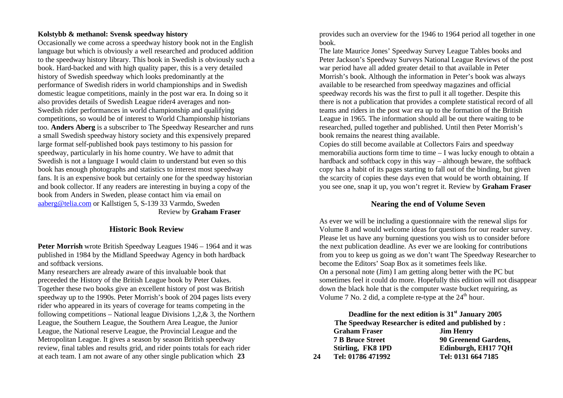#### **Kolstybb & methanol: Svensk speedway history**

Occasionally we come across a speedway history book not in the English language but which is obviously a well researched and produced addition to the speedway history library. This book in Swedish is obviously such a book. Hard-backed and with high quality paper, this is a very detailed history of Swedish speedway which looks predominantly at the performance of Swedish riders in world championships and in Swedish domestic league competitions, mainly in the post war era. In doing so it also provides details of Swedish League rider4 averages and non-Swedish rider performances in world championship and qualifying competitions, so would be of interest to World Championship historians too. **Anders Aberg** is a subscriber to The Speedway Researcher and runs a small Swedish speedway history society and this expensively prepared large format self-published book pays testimony to his passion for speedway, particularly in his home country. We have to admit that Swedish is not a language I would claim to understand but even so this book has enough photographs and statistics to interest most speedway fans. It is an expensive book but certainly one for the speedway historian and book collector. If any readers are interesting in buying a copy of the book from Anders in Sweden, please contact him via email on aaberg@telia.com or Kallstigen 5, S-139 33 Varmdo, Sweden Review by **Graham Fraser** 

#### **Historic Book Review**

**Peter Morrish** wrote British Speedway Leagues 1946 – 1964 and it was published in 1984 by the Midland Speedway Agency in both hardback and softback versions.

Many researchers are already aware of this invaluable book that preceeded the History of the British League book by Peter Oakes. Together these two books give an excellent history of post was British speedway up to the 1990s. Peter Morrish's book of 204 pages lists every rider who appeared in its years of coverage for teams competing in the following competitions – National league Divisions 1,2, $\&$  3, the Northern League, the Southern League, the Southern Area League, the Junior League, the National reserve League, the Provincial League and the Metropolitan League. It gives a season by season British speedway review, final tables and results grid, and rider points totals for each rider at each team. I am not aware of any other single publication which **23** 

provides such an overview for the 1946 to 1964 period all together in one book.

The late Maurice Jones' Speedway Survey League Tables books and Peter Jackson's Speedway Surveys National League Reviews of the post war period have all added greater detail to that available in Peter Morrish's book. Although the information in Peter's book was always available to be researched from speedway magazines and official speedway records his was the first to pull it all together. Despite this there is not a publication that provides a complete statistical record of all teams and riders in the post war era up to the formation of the British League in 1965. The information should all be out there waiting to be researched, pulled together and published. Until then Peter Morrish's book remains the nearest thing available.

Copies do still become available at Collectors Fairs and speedway memorabilia auctions form time to time – I was lucky enough to obtain a hardback and softback copy in this way – although beware, the softback copy has a habit of its pages starting to fall out of the binding, but given the scarcity of copies these days even that would be worth obtaining. If you see one, snap it up, you won't regret it. Review by **Graham Fraser**

### **Nearing the end of Volume Seven**

As ever we will be including a questionnaire with the renewal slips for Volume 8 and would welcome ideas for questions for our reader survey. Please let us have any burning questions you wish us to consider before the next publication deadline. As ever we are looking for contributions from you to keep us going as we don't want The Speedway Researcher to become the Editors' Soap Box as it sometimes feels like. On a personal note (Jim) I am getting along better with the PC but sometimes feel it could do more. Hopefully this edition will not disappear down the black hole that is the computer waste bucket requiring, as Volume 7 No. 2 did, a complete re-type at the  $24<sup>th</sup>$  hour.

**Deadline for the next edition is 31st January 2005 The Speedway Researcher is edited and published by : Graham Fraser Jim Henry 7 B Bruce Street 90 Greenend Gardens, Stirling, FK8 1PD Edinburgh, EH17 7QH 24 Tel: 01786 471992 Tel: 0131 664 7185**